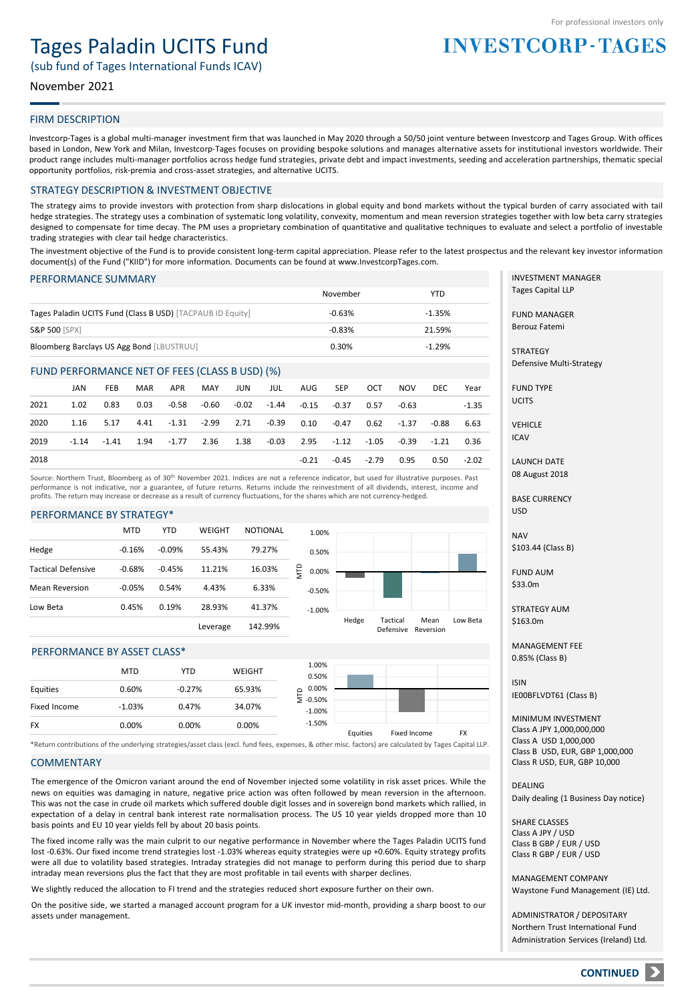# Tages Paladin UCITS Fund

(sub fund of Tages International Funds ICAV)

# November 2021

# FIRM DESCRIPTION

Investcorp-Tages is a global multi-manager investment firm that was launched in May 2020 through a 50/50 joint venture between Investcorp and Tages Group. With offices based in London, New York and Milan, Investcorp-Tages focuses on providing bespoke solutions and manages alternative assets for institutional investors worldwide. Their product range includes multi-manager portfolios across hedge fund strategies, private debt and impact investments, seeding and acceleration partnerships, thematic special opportunity portfolios, risk-premia and cross-asset strategies, and alternative UCITS.

#### STRATEGY DESCRIPTION & INVESTMENT OBJECTIVE

The strategy aims to provide investors with protection from sharp dislocations in global equity and bond markets without the typical burden of carry associated with tail hedge strategies. The strategy uses a combination of systematic long volatility, convexity, momentum and mean reversion strategies together with low beta carry strategies designed to compensate for time decay. The PM uses a proprietary combination of quantitative and qualitative techniques to evaluate and select a portfolio of investable trading strategies with clear tail hedge characteristics.

The investment objective of the Fund is to provide consistent long-term capital appreciation. Please refer to the latest prospectus and the relevant key investor information document(s) of the Fund ("KIID") for more information. Documents can be found at www.InvestcorpTages.com.

#### PERFORMANCE SUMMARY

|                                                            | November | YTD      |
|------------------------------------------------------------|----------|----------|
| Tages Paladin UCITS Fund (Class B USD) [TACPAUB ID Equity] | $-0.63%$ | $-1.35%$ |
| <b>S&amp;P 500 [SPX]</b>                                   | $-0.83%$ | 21.59%   |
| Bloomberg Barclays US Agg Bond [LBUSTRUU]                  | 0.30%    | $-1.29%$ |

#### FUND PERFORMANCE NET OF FEES (CLASS B USD) (%)

|      | JAN     | <b>FEB</b> | MAR  | APR                                                                | MAY | JUN | <b>JUL</b> | AUG   | SEP                                      | OCT           | <b>NOV</b> | DEC   | Year    |
|------|---------|------------|------|--------------------------------------------------------------------|-----|-----|------------|-------|------------------------------------------|---------------|------------|-------|---------|
| 2021 | 1.02    | 0.83       | 0.03 |                                                                    |     |     |            |       | -0.58 -0.60 -0.02 -1.44 -0.15 -0.37 0.57 |               | -0.63      |       | -1.35   |
| 2020 |         | 1.16 5.17  |      | 4.41 -1.31 -2.99 2.71 -0.39 0.10 -0.47 0.62                        |     |     |            |       |                                          |               | -1.37      | -0.88 | 6.63    |
| 2019 | $-1.14$ |            |      | -1.41 1.94 -1.77 2.36 1.38 -0.03 2.95 -1.12 -1.05 -0.39 -1.21 0.36 |     |     |            |       |                                          |               |            |       |         |
| 2018 |         |            |      |                                                                    |     |     |            | -0.21 |                                          | $-0.45 -2.79$ | 0.95       | 0.50  | $-2.02$ |

Source: Northern Trust, Bloomberg as of 30<sup>th</sup> November 2021. Indices are not a reference indicator, but used for illustrative purposes. Past performance is not indicative, nor a guarantee, of future returns. Returns include the reinvestment of all dividends, interest, income and profits. The return may increase or decrease as a result of currency fluctuations, for the shares which are not currency-hedged.

#### PERFORMANCE BY STRATEGY\*

|                           | <b>MTD</b> | <b>YTD</b> | WEIGHT   | NOTIONAL |     | 1.00%    |       |                       |                   |          |
|---------------------------|------------|------------|----------|----------|-----|----------|-------|-----------------------|-------------------|----------|
| Hedge                     | $-0.16%$   | $-0.09%$   | 55.43%   | 79.27%   |     | 0.50%    |       |                       |                   |          |
| <b>Tactical Defensive</b> | $-0.68%$   | $-0.45%$   | 11.21%   | 16.03%   | gци | 0.00%    |       |                       |                   |          |
| <b>Mean Reversion</b>     | $-0.05%$   | 0.54%      | 4.43%    | 6.33%    |     | $-0.50%$ |       |                       |                   |          |
| Low Beta                  | 0.45%      | 0.19%      | 28.93%   | 41.37%   |     | $-1.00%$ |       |                       |                   |          |
|                           |            |            | Leverage | 142.99%  |     |          | Hedge | Tactical<br>Defensive | Mean<br>Reversion | Low Beta |

### PERFORMANCE BY ASSET CLASS\*

|              | <b>MTD</b> | YTD      | <b>WEIGHT</b> | 1.00%<br>0.50%                    |          |              |           |
|--------------|------------|----------|---------------|-----------------------------------|----------|--------------|-----------|
| Equities     | 0.60%      | $-0.27%$ | 65.93%        | 0.00%                             |          |              |           |
| Fixed Income | $-1.03%$   | 0.47%    | 34.07%        | $\overline{5}$ -0.50%<br>$-1.00%$ |          |              |           |
| FX           | 0.00%      | 0.00%    | 0.00%         | $-1.50%$                          | Equities | Fixed Income | <b>FX</b> |
|              |            |          |               |                                   |          |              |           |

\*Return contributions of the underlying strategies/asset class (excl. fund fees, expenses, & other misc. factors) are calculated by Tages Capital LLP.

#### **COMMENTARY**

The emergence of the Omicron variant around the end of November injected some volatility in risk asset prices. While the news on equities was damaging in nature, negative price action was often followed by mean reversion in the afternoon. This was not the case in crude oil markets which suffered double digit losses and in sovereign bond markets which rallied, in expectation of a delay in central bank interest rate normalisation process. The US 10 year yields dropped more than 10 basis points and EU 10 year yields fell by about 20 basis points.

The fixed income rally was the main culprit to our negative performance in November where the Tages Paladin UCITS fund lost -0.63%. Our fixed income trend strategies lost -1.03% whereas equity strategies were up +0.60%. Equity strategy profits were all due to volatility based strategies. Intraday strategies did not manage to perform during this period due to sharp intraday mean reversions plus the fact that they are most profitable in tail events with sharper declines.

We slightly reduced the allocation to FI trend and the strategies reduced short exposure further on their own.

On the positive side, we started a managed account program for a UK investor mid-month, providing a sharp boost to our assets under management.

INVESTMENT MANAGER Tages Capital LLP

**INVESTCORP-TAGES** 

FUND MANAGER Berouz Fatemi

**STRATEGY** Defensive Multi-Strategy

FUND TYPE **UCITS** 

VEHICLE ICAV

LAUNCH DATE 08 August 2018

BASE CURRENCY USD

NAV \$103.44 (Class B)

FUND AUM \$33.0m

STRATEGY AUM \$163.0m

MANAGEMENT FEE 0.85% (Class B)

ISIN IE00BFLVDT61 (Class B)

MINIMUM INVESTMENT Class A JPY 1,000,000,000 Class A USD 1,000,000 Class B USD, EUR, GBP 1,000,000 Class R USD, EUR, GBP 10,000

DEALING Daily dealing (1 Business Day notice)

SHARE CLASSES Class A JPY / USD Class B GBP / EUR / USD Class R GBP / EUR / USD

MANAGEMENT COMPANY Waystone Fund Management (IE) Ltd.

ADMINISTRATOR / DEPOSITARY Northern Trust International Fund Administration Services (Ireland) Ltd.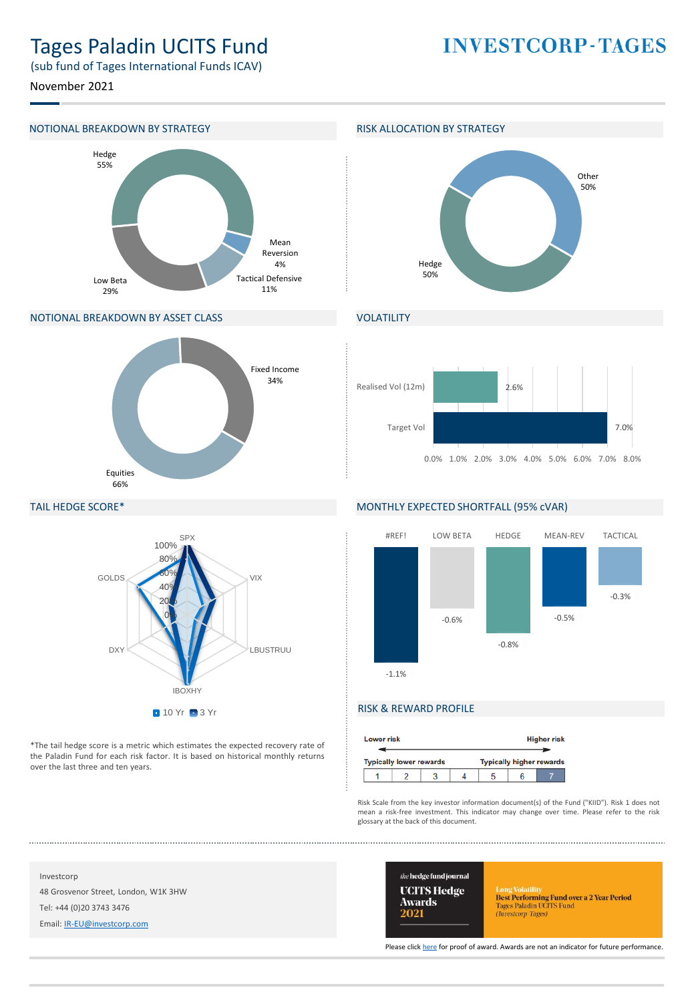# Tages Paladin UCITS Fund

**INVESTCORP-TAGES** 

(sub fund of Tages International Funds ICAV)

November 2021

# NOTIONAL BREAKDOWN BY STRATEGY **RISK ALLOCATION BY STRATEGY**



# NOTIONAL BREAKDOWN BY ASSET CLASS





# VOLATILITY



### TAIL HEDGE SCORE\*



\*The tail hedge score is a metric which estimates the expected recovery rate of the Paladin Fund for each risk factor. It is based on historical monthly returns over the last three and ten years.

# MONTHLY EXPECTED SHORTFALL (95% cVAR)



# RISK & REWARD PROFILE

| <b>Lower risk</b>                                                 |  |  |  |  |  | <b>Higher risk</b> |
|-------------------------------------------------------------------|--|--|--|--|--|--------------------|
| <b>Typically higher rewards</b><br><b>Typically lower rewards</b> |  |  |  |  |  |                    |
|                                                                   |  |  |  |  |  |                    |

Risk Scale from the key investor information document(s) of the Fund ("KIID"). Risk 1 does not mean a risk-free investment. This indicator may change over time. Please refer to the risk glossary at the back of this document.

Investcorp 48 Grosvenor Street, London, W1K 3HW Tel: +44 (0)20 3743 3476

Email: [IR-EU@investcorp.com](mailto:IR-EU@investcorp.com)



Long Volatilus<br> **Best Performing Fund over a 2 Year Period**<br>
Tages Paladin UCITS Fund<br> *(Investorp-Tages)* 

Please click [here](https://thehedgefundjournal.com/wp-content/uploads/2021/03/UCITS-Hedge-Awards-2021-Winners-List.pdf) for proof of award. Awards are not an indicator for future performance.